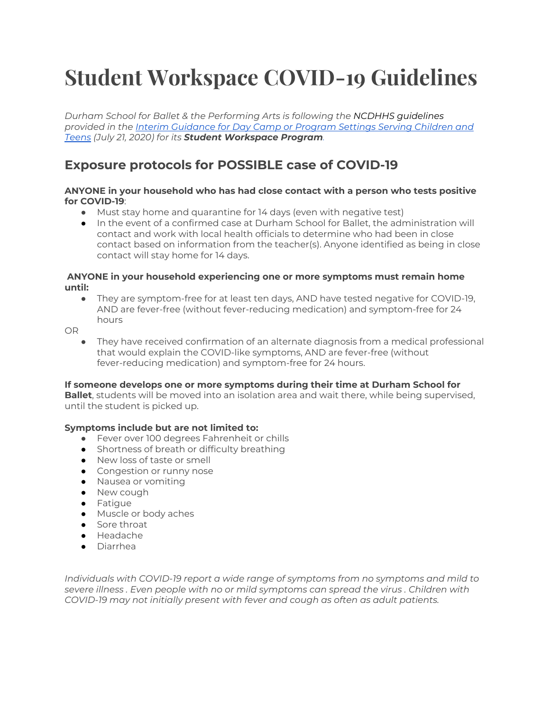# **Student Workspace COVID-19 Guidelines**

*Durham School for Ballet & the Performing Arts is following the NCDHHS guidelines provided in th[e](https://files.nc.gov/covid/documents/guidance/businesses/NC-Interim-Guidance-for-Day-Camp-Settings.pdf) Interim [Guidance](https://files.nc.gov/covid/documents/guidance/businesses/NC-Interim-Guidance-for-Day-Camp-Settings.pdf) for Day Camp or Program Settings Serving Children and [Teens](https://files.nc.gov/covid/documents/guidance/businesses/NC-Interim-Guidance-for-Day-Camp-Settings.pdf) (July 21, 2020) for its Student Workspace Program[.](https://files.nc.gov/covid/documents/guidance/businesses/NC-Interim-Guidance-for-Day-Camp-Settings.pdf)*

# **Exposure protocols for POSSIBLE case of COVID-19**

## **ANYONE in your household who has had close contact with a person who tests positive for COVID-19**:

- Must stay home and quarantine for 14 days (even with negative test)
- In the event of a confirmed case at Durham School for Ballet, the administration will contact and work with local health officials to determine who had been in close contact based on information from the teacher(s). Anyone identified as being in close contact will stay home for 14 days.

## **ANYONE in your household experiencing one or more symptoms must remain home until:**

● They are symptom-free for at least ten days, AND have tested negative for COVID-19, AND are fever-free (without fever-reducing medication) and symptom-free for 24 hours

OR

They have received confirmation of an alternate diagnosis from a medical professional that would explain the COVID-like symptoms, AND are fever-free (without fever-reducing medication) and symptom-free for 24 hours.

# **If someone develops one or more symptoms during their time at Durham School for**

**Ballet**, students will be moved into an isolation area and wait there, while being supervised, until the student is picked up.

# **Symptoms include but are not limited to:**

- Fever over 100 degrees Fahrenheit or chills
- Shortness of breath or difficulty breathing
- New loss of taste or smell
- Congestion or runny nose
- Nausea or vomiting
- New cough
- Fatigue
- Muscle or body aches
- Sore throat
- Headache
- Diarrhea

*Individuals with COVID-19 report a wide range of symptoms from no symptoms and mild to severe illness . Even people with no or mild symptoms can spread the virus . Children with COVID-19 may not initially present with fever and cough as often as adult patients.*